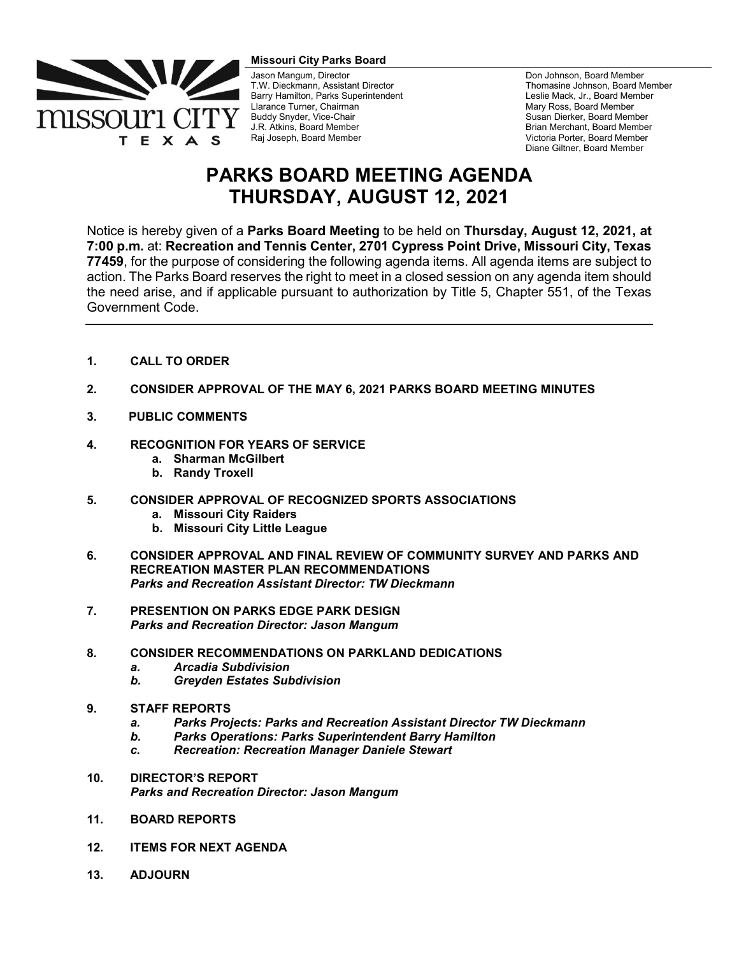

**Missouri City Parks Board** 

Jason Mangum, Director T.W. Dieckmann, Assistant Director Barry Hamilton, Parks Superintendent Llarance Turner, Chairman Buddy Snyder, Vice-Chair J.R. Atkins, Board Member Raj Joseph, Board Member

Don Johnson, Board Member Thomasine Johnson, Board Member Leslie Mack, Jr., Board Member Mary Ross, Board Member Susan Dierker, Board Member Brian Merchant, Board Member Victoria Porter, Board Member Diane Giltner, Board Member

## **PARKS BOARD MEETING AGENDA THURSDAY, AUGUST 12, 2021**

Notice is hereby given of a **Parks Board Meeting** to be held on **Thursday, August 12, 2021, at 7:00 p.m.** at: **Recreation and Tennis Center, 2701 Cypress Point Drive, Missouri City, Texas 77459**, for the purpose of considering the following agenda items. All agenda items are subject to action. The Parks Board reserves the right to meet in a closed session on any agenda item should the need arise, and if applicable pursuant to authorization by Title 5, Chapter 551, of the Texas Government Code.

- **1. CALL TO ORDER**
- **2. CONSIDER APPROVAL OF THE MAY 6, 2021 PARKS BOARD MEETING MINUTES**
- **3. PUBLIC COMMENTS**
- **4. RECOGNITION FOR YEARS OF SERVICE** 
	- **a. Sharman McGilbert**
	- **b. Randy Troxell**
- **5. CONSIDER APPROVAL OF RECOGNIZED SPORTS ASSOCIATIONS**
	- **a. Missouri City Raiders**
	- **b. Missouri City Little League**
- **6. CONSIDER APPROVAL AND FINAL REVIEW OF COMMUNITY SURVEY AND PARKS AND RECREATION MASTER PLAN RECOMMENDATIONS** *Parks and Recreation Assistant Director: TW Dieckmann*
- **7. PRESENTION ON PARKS EDGE PARK DESIGN** *Parks and Recreation Director: Jason Mangum*

## **8***.* **CONSIDER RECOMMENDATIONS ON PARKLAND DEDICATIONS**

- *a. Arcadia Subdivision*
- *b. Greyden Estates Subdivision*
- **9. STAFF REPORTS**
	- *a. Parks Projects: Parks and Recreation Assistant Director TW Dieckmann*
	- *b. Parks Operations: Parks Superintendent Barry Hamilton*
	- *c. Recreation: Recreation Manager Daniele Stewart*
- **10. DIRECTOR'S REPORT**  *Parks and Recreation Director: Jason Mangum*
- **11. BOARD REPORTS**
- **12. ITEMS FOR NEXT AGENDA**
- **13. ADJOURN**